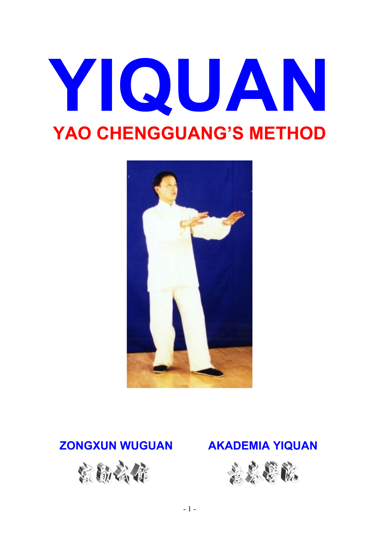# **YIQUAN YAO CHENGGUANG'S METHOD**



### **ZONGXUN WUGUAN AKADEMIA YIQUAN**



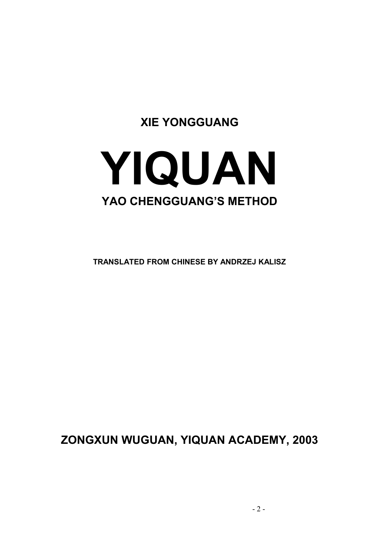**XIE YONGGUANG**



**TRANSLATED FROM CHINESE BY ANDRZEJ KALISZ**

**ZONGXUN WUGUAN, YIQUAN ACADEMY, 2003**

 $-2-$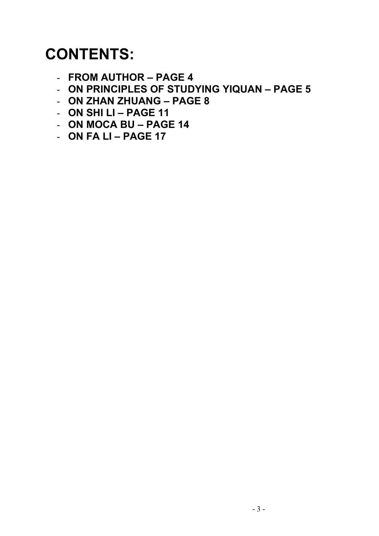### **CONTENTS:**

- **FROM AUTHOR PAGE 4**
- **ON PRINCIPLES OF STUDYING YIQUAN PAGE 5**
- **ON ZHAN ZHUANG PAGE 8**
- **ON SHI LI PAGE 11**
- **ON MOCA BU PAGE 14**
- **ON FA LI PAGE 17**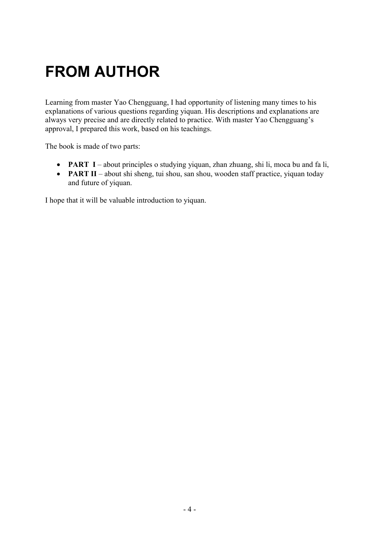## **FROM AUTHOR**

Learning from master Yao Chengguang, I had opportunity of listening many times to his explanations of various questions regarding yiquan. His descriptions and explanations are always very precise and are directly related to practice. With master Yao Chengguang's approval, I prepared this work, based on his teachings.

The book is made of two parts:

- **PART I** about principles o studying yiquan, zhan zhuang, shi li, moca bu and fa li,
- **PART II** about shi sheng, tui shou, san shou, wooden staff practice, yiquan today and future of yiquan.

I hope that it will be valuable introduction to yiquan.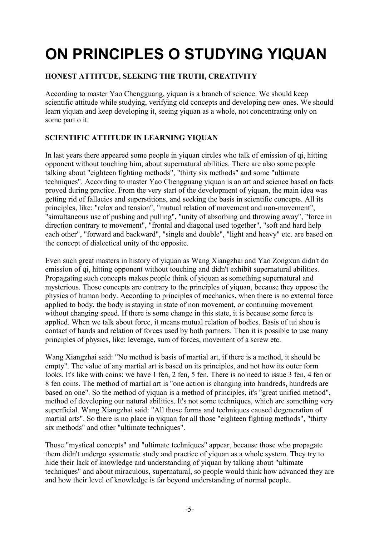## **ON PRINCIPLES O STUDYING YIQUAN**

#### **HONEST ATTITUDE, SEEKING THE TRUTH, CREATIVITY**

According to master Yao Chengguang, yiquan is a branch of science. We should keep scientific attitude while studying, verifying old concepts and developing new ones. We should learn yiquan and keep developing it, seeing yiquan as a whole, not concentrating only on some part o it.

#### **SCIENTIFIC ATTITUDE IN LEARNING YIQUAN**

In last years there appeared some people in yiquan circles who talk of emission of qi, hitting opponent without touching him, about supernatural abilities. There are also some people talking about "eighteen fighting methods", "thirty six methods" and some "ultimate techniques". According to master Yao Chengguang yiquan is an art and science based on facts proved during practice. From the very start of the development of yiquan, the main idea was getting rid of fallacies and superstitions, and seeking the basis in scientific concepts. All its principles, like: "relax and tension", "mutual relation of movement and non-movement", "simultaneous use of pushing and pulling", "unity of absorbing and throwing away", "force in direction contrary to movement", "frontal and diagonal used together", "soft and hard help each other", "forward and backward", "single and double", "light and heavy" etc. are based on the concept of dialectical unity of the opposite.

Even such great masters in history of yiquan as Wang Xiangzhai and Yao Zongxun didn't do emission of qi, hitting opponent without touching and didn't exhibit supernatural abilities. Propagating such concepts makes people think of yiquan as something supernatural and mysterious. Those concepts are contrary to the principles of yiquan, because they oppose the physics of human body. According to principles of mechanics, when there is no external force applied to body, the body is staying in state of non movement, or continuing movement without changing speed. If there is some change in this state, it is because some force is applied. When we talk about force, it means mutual relation of bodies. Basis of tui shou is contact of hands and relation of forces used by both partners. Then it is possible to use many principles of physics, like: leverage, sum of forces, movement of a screw etc.

Wang Xiangzhai said: "No method is basis of martial art, if there is a method, it should be empty". The value of any martial art is based on its principles, and not how its outer form looks. It's like with coins: we have 1 fen, 2 fen, 5 fen. There is no need to issue 3 fen, 4 fen or 8 fen coins. The method of martial art is "one action is changing into hundreds, hundreds are based on one". So the method of yiquan is a method of principles, it's "great unified method", method of developing our natural abilities. It's not some techniques, which are something very superficial. Wang Xiangzhai said: "All those forms and techniques caused degeneration of martial arts". So there is no place in yiquan for all those "eighteen fighting methods", "thirty six methods" and other "ultimate techniques".

Those "mystical concepts" and "ultimate techniques" appear, because those who propagate them didn't undergo systematic study and practice of yiquan as a whole system. They try to hide their lack of knowledge and understanding of yiquan by talking about "ultimate techniques" and about miraculous, supernatural, so people would think how advanced they are and how their level of knowledge is far beyond understanding of normal people.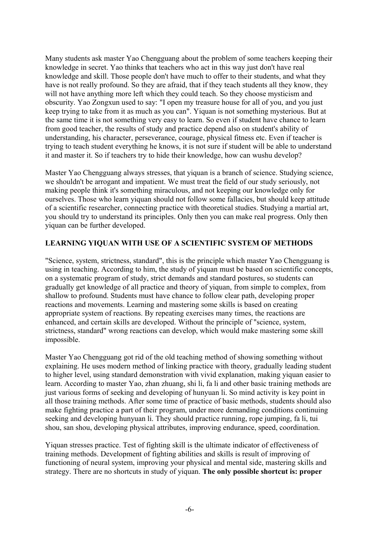Many students ask master Yao Chengguang about the problem of some teachers keeping their knowledge in secret. Yao thinks that teachers who act in this way just don't have real knowledge and skill. Those people don't have much to offer to their students, and what they have is not really profound. So they are afraid, that if they teach students all they know, they will not have anything more left which they could teach. So they choose mysticism and obscurity. Yao Zongxun used to say: "I open my treasure house for all of you, and you just keep trying to take from it as much as you can". Yiquan is not something mysterious. But at the same time it is not something very easy to learn. So even if student have chance to learn from good teacher, the results of study and practice depend also on student's ability of understanding, his character, perseverance, courage, physical fitness etc. Even if teacher is trying to teach student everything he knows, it is not sure if student will be able to understand it and master it. So if teachers try to hide their knowledge, how can wushu develop?

Master Yao Chengguang always stresses, that yiquan is a branch of science. Studying science, we shouldn't be arrogant and impatient. We must treat the field of our study seriously, not making people think it's something miraculous, and not keeping our knowledge only for ourselves. Those who learn yiquan should not follow some fallacies, but should keep attitude of a scientific researcher, connecting practice with theoretical studies. Studying a martial art, you should try to understand its principles. Only then you can make real progress. Only then yiquan can be further developed.

#### **LEARNING YIQUAN WITH USE OF A SCIENTIFIC SYSTEM OF METHODS**

"Science, system, strictness, standard", this is the principle which master Yao Chengguang is using in teaching. According to him, the study of yiquan must be based on scientific concepts, on a systematic program of study, strict demands and standard postures, so students can gradually get knowledge of all practice and theory of yiquan, from simple to complex, from shallow to profound. Students must have chance to follow clear path, developing proper reactions and movements. Learning and mastering some skills is based on creating appropriate system of reactions. By repeating exercises many times, the reactions are enhanced, and certain skills are developed. Without the principle of "science, system, strictness, standard" wrong reactions can develop, which would make mastering some skill impossible.

Master Yao Chengguang got rid of the old teaching method of showing something without explaining. He uses modern method of linking practice with theory, gradually leading student to higher level, using standard demonstration with vivid explanation, making yiquan easier to learn. According to master Yao, zhan zhuang, shi li, fa li and other basic training methods are just various forms of seeking and developing of hunyuan li. So mind activity is key point in all those training methods. After some time of practice of basic methods, students should also make fighting practice a part of their program, under more demanding conditions continuing seeking and developing hunyuan li. They should practice running, rope jumping, fa li, tui shou, san shou, developing physical attributes, improving endurance, speed, coordination.

Yiquan stresses practice. Test of fighting skill is the ultimate indicator of effectiveness of training methods. Development of fighting abilities and skills is result of improving of functioning of neural system, improving your physical and mental side, mastering skills and strategy. There are no shortcuts in study of yiquan. **The only possible shortcut is: proper**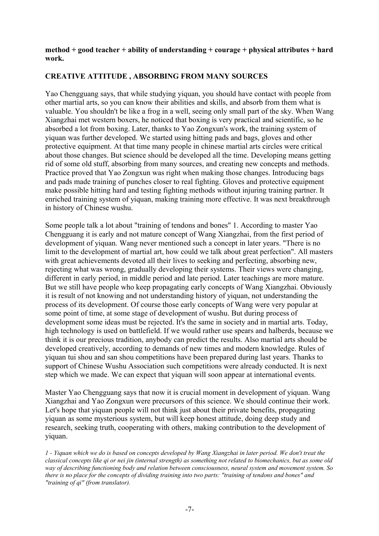#### **method + good teacher + ability of understanding + courage + physical attributes + hard work.**

#### **CREATIVE ATTITUDE , ABSORBING FROM MANY SOURCES**

Yao Chengguang says, that while studying yiquan, you should have contact with people from other martial arts, so you can know their abilities and skills, and absorb from them what is valuable. You shouldn't be like a frog in a well, seeing only small part of the sky. When Wang Xiangzhai met western boxers, he noticed that boxing is very practical and scientific, so he absorbed a lot from boxing. Later, thanks to Yao Zongxun's work, the training system of yiquan was further developed. We started using hitting pads and bags, gloves and other protective equipment. At that time many people in chinese martial arts circles were critical about those changes. But science should be developed all the time. Developing means getting rid of some old stuff, absorbing from many sources, and creating new concepts and methods. Practice proved that Yao Zongxun was right when making those changes. Introducing bags and pads made training of punches closer to real fighting. Gloves and protective equipment make possible hitting hard and testing fighting methods without injuring training partner. It enriched training system of yiquan, making training more effective. It was next breakthrough in history of Chinese wushu.

Some people talk a lot about "training of tendons and bones" 1. According to master Yao Chengguang it is early and not mature concept of Wang Xiangzhai, from the first period of development of yiquan. Wang never mentioned such a concept in later years. "There is no limit to the development of martial art, how could we talk about great perfection". All masters with great achievements devoted all their lives to seeking and perfecting, absorbing new, rejecting what was wrong, gradually developing their systems. Their views were changing, different in early period, in middle period and late period. Later teachings are more mature. But we still have people who keep propagating early concepts of Wang Xiangzhai. Obviously it is result of not knowing and not understanding history of yiquan, not understanding the process of its development. Of course those early concepts of Wang were very popular at some point of time, at some stage of development of wushu. But during process of development some ideas must be rejected. It's the same in society and in martial arts. Today, high technology is used on battlefield. If we would rather use spears and halberds, because we think it is our precious tradition, anybody can predict the results. Also martial arts should be developed creatively, according to demands of new times and modern knowledge. Rules of yiquan tui shou and san shou competitions have been prepared during last years. Thanks to support of Chinese Wushu Association such competitions were already conducted. It is next step which we made. We can expect that yiquan will soon appear at international events.

Master Yao Chengguang says that now it is crucial moment in development of yiquan. Wang Xiangzhai and Yao Zongxun were precursors of this science. We should continue their work. Let's hope that yiquan people will not think just about their private benefits, propagating yiquan as some mysterious system, but will keep honest attitude, doing deep study and research, seeking truth, cooperating with others, making contribution to the development of yiquan.

*1 - Yiquan which we do is based on concepts developed by Wang Xiangzhai in later period. We don't treat the classical concepts like qi or nei jin (internal strength) as something not related to biomechanics, but as some old way of describing functioning body and relation between consciousness, neural system and movement system. So there is no place for the concepts of dividing training into two parts: "training of tendons and bones" and "training of qi" (from translator).*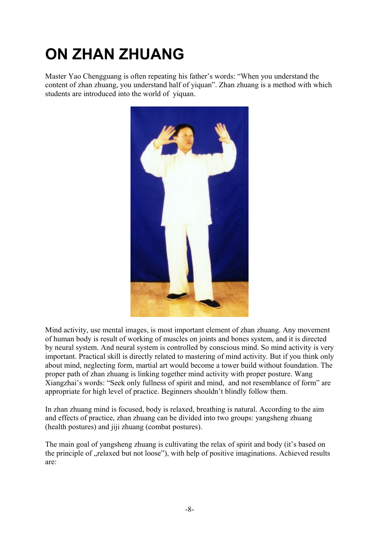## **ON ZHAN ZHUANG**

Master Yao Chengguang is often repeating his father's words: "When you understand the content of zhan zhuang, you understand half of yiquan". Zhan zhuang is a method with which students are introduced into the world of yiquan.



Mind activity, use mental images, is most important element of zhan zhuang. Any movement of human body is result of working of muscles on joints and bones system, and it is directed by neural system. And neural system is controlled by conscious mind. So mind activity is very important. Practical skill is directly related to mastering of mind activity. But if you think only about mind, neglecting form, martial art would become a tower build without foundation. The proper path of zhan zhuang is linking together mind activity with proper posture. Wang Xiangzhai's words: "Seek only fullness of spirit and mind, and not resemblance of form" are appropriate for high level of practice. Beginners shouldn't blindly follow them.

In zhan zhuang mind is focused, body is relaxed, breathing is natural. According to the aim and effects of practice, zhan zhuang can be divided into two groups: yangsheng zhuang (health postures) and jiji zhuang (combat postures).

The main goal of yangsheng zhuang is cultivating the relax of spirit and body (it's based on the principle of "relaxed but not loose"), with help of positive imaginations. Achieved results are: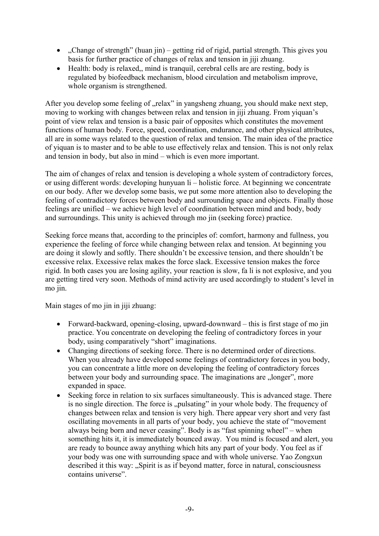- "Change of strength" (huan jin) getting rid of rigid, partial strength. This gives you basis for further practice of changes of relax and tension in jiji zhuang.
- Health: body is relaxed,, mind is tranquil, cerebral cells are are resting, body is regulated by biofeedback mechanism, blood circulation and metabolism improve, whole organism is strengthened.

After you develop some feeling of "relax" in yangsheng zhuang, you should make next step, moving to working with changes between relax and tension in jiji zhuang. From yiquan's point of view relax and tension is a basic pair of opposites which constitutes the movement functions of human body. Force, speed, coordination, endurance, and other physical attributes, all are in some ways related to the question of relax and tension. The main idea of the practice of yiquan is to master and to be able to use effectively relax and tension. This is not only relax and tension in body, but also in mind – which is even more important.

The aim of changes of relax and tension is developing a whole system of contradictory forces, or using different words: developing hunyuan li – holistic force. At beginning we concentrate on our body. After we develop some basis, we put some more attention also to developing the feeling of contradictory forces between body and surrounding space and objects. Finally those feelings are unified – we achieve high level of coordination between mind and body, body and surroundings. This unity is achieved through mo jin (seeking force) practice.

Seeking force means that, according to the principles of: comfort, harmony and fullness, you experience the feeling of force while changing between relax and tension. At beginning you are doing it slowly and softly. There shouldn't be excessive tension, and there shouldn't be excessive relax. Excessive relax makes the force slack. Excessive tension makes the force rigid. In both cases you are losing agility, your reaction is slow, fa li is not explosive, and you are getting tired very soon. Methods of mind activity are used accordingly to student's level in mo jin.

Main stages of mo jin in jiji zhuang:

- Forward-backward, opening-closing, upward-downward this is first stage of mo jin practice. You concentrate on developing the feeling of contradictory forces in your body, using comparatively "short" imaginations.
- Changing directions of seeking force. There is no determined order of directions. When you already have developed some feelings of contradictory forces in you body, you can concentrate a little more on developing the feeling of contradictory forces between your body and surrounding space. The imaginations are "longer", more expanded in space.
- Seeking force in relation to six surfaces simultaneously. This is advanced stage. There is no single direction. The force is "pulsating" in your whole body. The frequency of changes between relax and tension is very high. There appear very short and very fast oscillating movements in all parts of your body, you achieve the state of "movement always being born and never ceasing". Body is as "fast spinning wheel" – when something hits it, it is immediately bounced away. You mind is focused and alert, you are ready to bounce away anything which hits any part of your body. You feel as if your body was one with surrounding space and with whole universe. Yao Zongxun described it this way: "Spirit is as if beyond matter, force in natural, consciousness contains universe".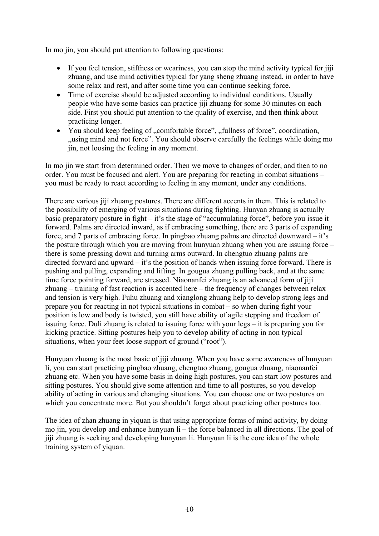In mo jin, you should put attention to following questions:

- If you feel tension, stiffness or weariness, you can stop the mind activity typical for jiji zhuang, and use mind activities typical for yang sheng zhuang instead, in order to have some relax and rest, and after some time you can continue seeking force.
- Time of exercise should be adjusted according to individual conditions. Usually people who have some basics can practice jiji zhuang for some 30 minutes on each side. First you should put attention to the quality of exercise, and then think about practicing longer.
- You should keep feeling of "comfortable force", "fullness of force", coordination, ", using mind and not force". You should observe carefully the feelings while doing mo jin, not loosing the feeling in any moment.

In mo jin we start from determined order. Then we move to changes of order, and then to no order. You must be focused and alert. You are preparing for reacting in combat situations – you must be ready to react according to feeling in any moment, under any conditions.

There are various jiji zhuang postures. There are different accents in them. This is related to the possibility of emerging of various situations during fighting. Hunyan zhuang is actually basic preparatory posture in fight – it's the stage of "accumulating force", before you issue it forward. Palms are directed inward, as if embracing something, there are 3 parts of expanding force, and 7 parts of embracing force. In pingbao zhuang palms are directed downward – it's the posture through which you are moving from hunyuan zhuang when you are issuing force – there is some pressing down and turning arms outward. In chengtuo zhuang palms are directed forward and upward – it's the position of hands when issuing force forward. There is pushing and pulling, expanding and lifting. In gougua zhuang pulling back, and at the same time force pointing forward, are stressed. Niaonanfei zhuang is an advanced form of jiji zhuang – training of fast reaction is accented here – the frequency of changes between relax and tension is very high. Fuhu zhuang and xianglong zhuang help to develop strong legs and prepare you for reacting in not typical situations in combat – so when during fight your position is low and body is twisted, you still have ability of agile stepping and freedom of issuing force. Duli zhuang is related to issuing force with your legs – it is preparing you for kicking practice. Sitting postures help you to develop ability of acting in non typical situations, when your feet loose support of ground ("root").

Hunyuan zhuang is the most basic of jiji zhuang. When you have some awareness of hunyuan li, you can start practicing pingbao zhuang, chengtuo zhuang, gougua zhuang, niaonanfei zhuang etc. When you have some basis in doing high postures, you can start low postures and sitting postures. You should give some attention and time to all postures, so you develop ability of acting in various and changing situations. You can choose one or two postures on which you concentrate more. But you shouldn't forget about practicing other postures too.

The idea of zhan zhuang in yiquan is that using appropriate forms of mind activity, by doing mo jin, you develop and enhance hunyuan li – the force balanced in all directions. The goal of jiji zhuang is seeking and developing hunyuan li. Hunyuan li is the core idea of the whole training system of yiquan.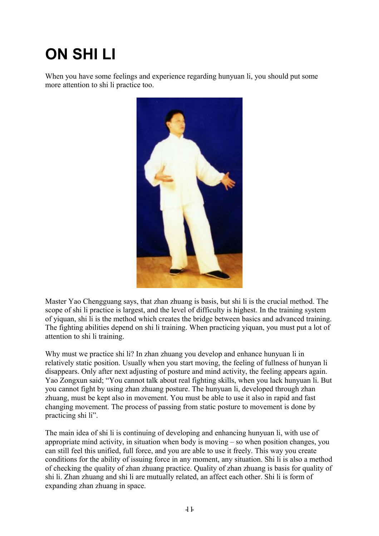## **ON SHI LI**

When you have some feelings and experience regarding hunyuan li, you should put some more attention to shi li practice too.



Master Yao Chengguang says, that zhan zhuang is basis, but shi li is the crucial method. The scope of shi li practice is largest, and the level of difficulty is highest. In the training system of yiquan, shi li is the method which creates the bridge between basics and advanced training. The fighting abilities depend on shi li training. When practicing yiquan, you must put a lot of attention to shi li training.

Why must we practice shi li? In zhan zhuang you develop and enhance hunyuan li in relatively static position. Usually when you start moving, the feeling of fullness of hunyan li disappears. Only after next adjusting of posture and mind activity, the feeling appears again. Yao Zongxun said; "You cannot talk about real fighting skills, when you lack hunyuan li. But you cannot fight by using zhan zhuang posture. The hunyuan li, developed through zhan zhuang, must be kept also in movement. You must be able to use it also in rapid and fast changing movement. The process of passing from static posture to movement is done by practicing shi li".

The main idea of shi li is continuing of developing and enhancing hunyuan li, with use of appropriate mind activity, in situation when body is moving – so when position changes, you can still feel this unified, full force, and you are able to use it freely. This way you create conditions for the ability of issuing force in any moment, any situation. Shi li is also a method of checking the quality of zhan zhuang practice. Quality of zhan zhuang is basis for quality of shi li. Zhan zhuang and shi li are mutually related, an affect each other. Shi li is form of expanding zhan zhuang in space.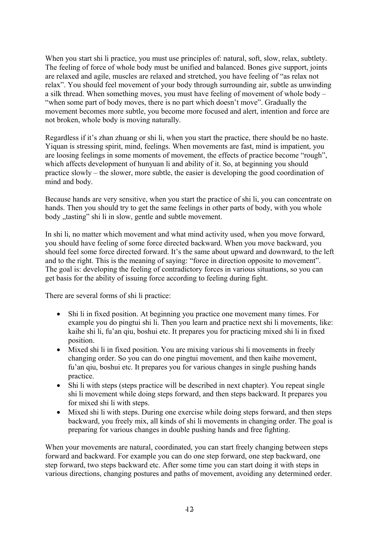When you start shi li practice, you must use principles of: natural, soft, slow, relax, subtlety. The feeling of force of whole body must be unified and balanced. Bones give support, joints are relaxed and agile, muscles are relaxed and stretched, you have feeling of "as relax not relax". You should feel movement of your body through surrounding air, subtle as unwinding a silk thread. When something moves, you must have feeling of movement of whole body – "when some part of body moves, there is no part which doesn't move". Gradually the movement becomes more subtle, you become more focused and alert, intention and force are not broken, whole body is moving naturally.

Regardless if it's zhan zhuang or shi li, when you start the practice, there should be no haste. Yiquan is stressing spirit, mind, feelings. When movements are fast, mind is impatient, you are loosing feelings in some moments of movement, the effects of practice become "rough", which affects development of hunyuan li and ability of it. So, at beginning you should practice slowly – the slower, more subtle, the easier is developing the good coordination of mind and body.

Because hands are very sensitive, when you start the practice of shi li, you can concentrate on hands. Then you should try to get the same feelings in other parts of body, with you whole body "tasting" shi li in slow, gentle and subtle movement.

In shi li, no matter which movement and what mind activity used, when you move forward, you should have feeling of some force directed backward. When you move backward, you should feel some force directed forward. It's the same about upward and downward, to the left and to the right. This is the meaning of saying: "force in direction opposite to movement". The goal is: developing the feeling of contradictory forces in various situations, so you can get basis for the ability of issuing force according to feeling during fight.

There are several forms of shi li practice:

- Shi li in fixed position. At beginning you practice one movement many times. For example you do pingtui shi li. Then you learn and practice next shi li movements, like: kaihe shi li, fu'an qiu, boshui etc. It prepares you for practicing mixed shi li in fixed position.
- Mixed shi li in fixed position. You are mixing various shi li movements in freely changing order. So you can do one pingtui movement, and then kaihe movement, fu'an qiu, boshui etc. It prepares you for various changes in single pushing hands practice.
- Shi li with steps (steps practice will be described in next chapter). You repeat single shi li movement while doing steps forward, and then steps backward. It prepares you for mixed shi li with steps.
- Mixed shi li with steps. During one exercise while doing steps forward, and then steps backward, you freely mix, all kinds of shi li movements in changing order. The goal is preparing for various changes in double pushing hands and free fighting.

When your movements are natural, coordinated, you can start freely changing between steps forward and backward. For example you can do one step forward, one step backward, one step forward, two steps backward etc. After some time you can start doing it with steps in various directions, changing postures and paths of movement, avoiding any determined order.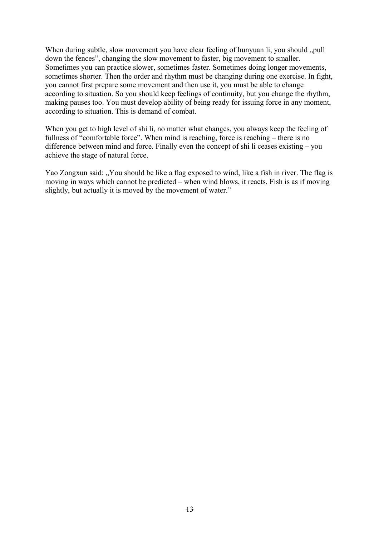When during subtle, slow movement you have clear feeling of hunyuan li, you should , pull down the fences", changing the slow movement to faster, big movement to smaller. Sometimes you can practice slower, sometimes faster. Sometimes doing longer movements, sometimes shorter. Then the order and rhythm must be changing during one exercise. In fight, you cannot first prepare some movement and then use it, you must be able to change according to situation. So you should keep feelings of continuity, but you change the rhythm, making pauses too. You must develop ability of being ready for issuing force in any moment, according to situation. This is demand of combat.

When you get to high level of shi li, no matter what changes, you always keep the feeling of fullness of "comfortable force". When mind is reaching, force is reaching – there is no difference between mind and force. Finally even the concept of shi li ceases existing – you achieve the stage of natural force.

Yao Zongxun said: "You should be like a flag exposed to wind, like a fish in river. The flag is moving in ways which cannot be predicted – when wind blows, it reacts. Fish is as if moving slightly, but actually it is moved by the movement of water."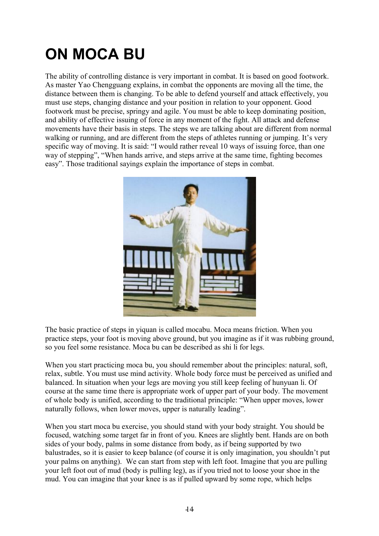## **ON MOCA BU**

The ability of controlling distance is very important in combat. It is based on good footwork. As master Yao Chengguang explains, in combat the opponents are moving all the time, the distance between them is changing. To be able to defend yourself and attack effectively, you must use steps, changing distance and your position in relation to your opponent. Good footwork must be precise, springy and agile. You must be able to keep dominating position, and ability of effective issuing of force in any moment of the fight. All attack and defense movements have their basis in steps. The steps we are talking about are different from normal walking or running, and are different from the steps of athletes running or jumping. It's very specific way of moving. It is said: "I would rather reveal 10 ways of issuing force, than one way of stepping", "When hands arrive, and steps arrive at the same time, fighting becomes easy". Those traditional sayings explain the importance of steps in combat.



The basic practice of steps in yiquan is called mocabu. Moca means friction. When you practice steps, your foot is moving above ground, but you imagine as if it was rubbing ground, so you feel some resistance. Moca bu can be described as shi li for legs.

When you start practicing moca bu, you should remember about the principles: natural, soft, relax, subtle. You must use mind activity. Whole body force must be perceived as unified and balanced. In situation when your legs are moving you still keep feeling of hunyuan li. Of course at the same time there is appropriate work of upper part of your body. The movement of whole body is unified, according to the traditional principle: "When upper moves, lower naturally follows, when lower moves, upper is naturally leading".

When you start moca bu exercise, you should stand with your body straight. You should be focused, watching some target far in front of you. Knees are slightly bent. Hands are on both sides of your body, palms in some distance from body, as if being supported by two balustrades, so it is easier to keep balance (of course it is only imagination, you shouldn't put your palms on anything). We can start from step with left foot. Imagine that you are pulling your left foot out of mud (body is pulling leg), as if you tried not to loose your shoe in the mud. You can imagine that your knee is as if pulled upward by some rope, which helps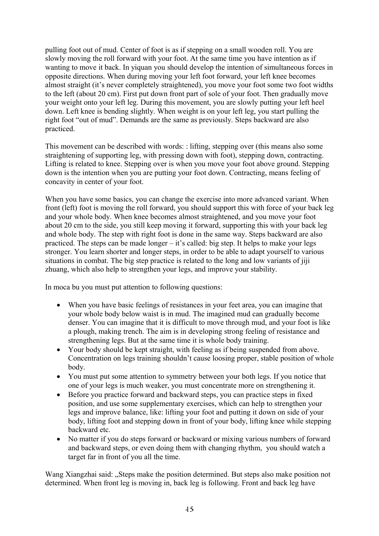pulling foot out of mud. Center of foot is as if stepping on a small wooden roll. You are slowly moving the roll forward with your foot. At the same time you have intention as if wanting to move it back. In yiquan you should develop the intention of simultaneous forces in opposite directions. When during moving your left foot forward, your left knee becomes almost straight (it's never completely straightened), you move your foot some two foot widths to the left (about 20 cm). First put down front part of sole of your foot. Then gradually move your weight onto your left leg. During this movement, you are slowly putting your left heel down. Left knee is bending slightly. When weight is on your left leg, you start pulling the right foot "out of mud". Demands are the same as previously. Steps backward are also practiced.

This movement can be described with words: : lifting, stepping over (this means also some straightening of supporting leg, with pressing down with foot), stepping down, contracting. Lifting is related to knee. Stepping over is when you move your foot above ground. Stepping down is the intention when you are putting your foot down. Contracting, means feeling of concavity in center of your foot.

When you have some basics, you can change the exercise into more advanced variant. When front (left) foot is moving the roll forward, you should support this with force of your back leg and your whole body. When knee becomes almost straightened, and you move your foot about 20 cm to the side, you still keep moving it forward, supporting this with your back leg and whole body. The step with right foot is done in the same way. Steps backward are also practiced. The steps can be made longer – it's called: big step. It helps to make your legs stronger. You learn shorter and longer steps, in order to be able to adapt yourself to various situations in combat. The big step practice is related to the long and low variants of jiji zhuang, which also help to strengthen your legs, and improve your stability.

In moca bu you must put attention to following questions:

- When you have basic feelings of resistances in your feet area, you can imagine that your whole body below waist is in mud. The imagined mud can gradually become denser. You can imagine that it is difficult to move through mud, and your foot is like a plough, making trench. The aim is in developing strong feeling of resistance and strengthening legs. But at the same time it is whole body training.
- Your body should be kept straight, with feeling as if being suspended from above. Concentration on legs training shouldn't cause loosing proper, stable position of whole body.
- You must put some attention to symmetry between your both legs. If you notice that one of your legs is much weaker, you must concentrate more on strengthening it.
- Before you practice forward and backward steps, you can practice steps in fixed position, and use some supplementary exercises, which can help to strengthen your legs and improve balance, like: lifting your foot and putting it down on side of your body, lifting foot and stepping down in front of your body, lifting knee while stepping backward etc.
- No matter if you do steps forward or backward or mixing various numbers of forward and backward steps, or even doing them with changing rhythm, you should watch a target far in front of you all the time.

Wang Xiangzhai said: "Steps make the position determined. But steps also make position not determined. When front leg is moving in, back leg is following. Front and back leg have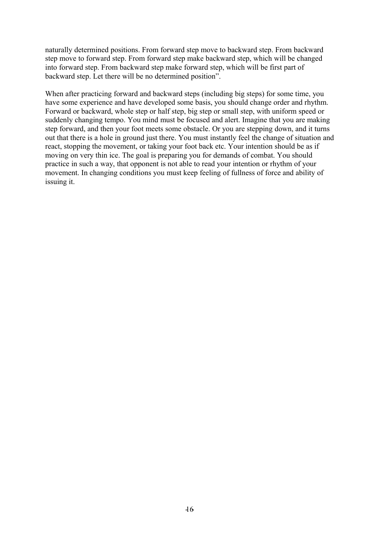naturally determined positions. From forward step move to backward step. From backward step move to forward step. From forward step make backward step, which will be changed into forward step. From backward step make forward step, which will be first part of backward step. Let there will be no determined position".

When after practicing forward and backward steps (including big steps) for some time, you have some experience and have developed some basis, you should change order and rhythm. Forward or backward, whole step or half step, big step or small step, with uniform speed or suddenly changing tempo. You mind must be focused and alert. Imagine that you are making step forward, and then your foot meets some obstacle. Or you are stepping down, and it turns out that there is a hole in ground just there. You must instantly feel the change of situation and react, stopping the movement, or taking your foot back etc. Your intention should be as if moving on very thin ice. The goal is preparing you for demands of combat. You should practice in such a way, that opponent is not able to read your intention or rhythm of your movement. In changing conditions you must keep feeling of fullness of force and ability of issuing it.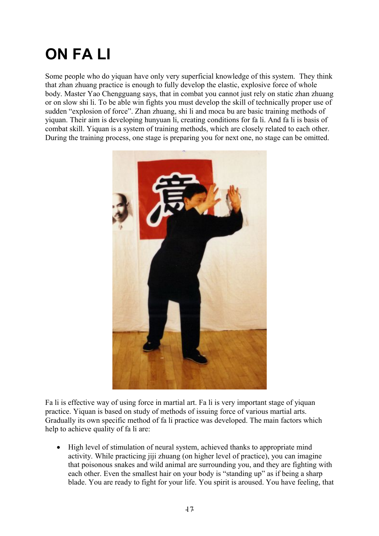## **ON FA LI**

Some people who do yiquan have only very superficial knowledge of this system. They think that zhan zhuang practice is enough to fully develop the elastic, explosive force of whole body. Master Yao Chengguang says, that in combat you cannot just rely on static zhan zhuang or on slow shi li. To be able win fights you must develop the skill of technically proper use of sudden "explosion of force". Zhan zhuang, shi li and moca bu are basic training methods of yiquan. Their aim is developing hunyuan li, creating conditions for fa li. And fa li is basis of combat skill. Yiquan is a system of training methods, which are closely related to each other. During the training process, one stage is preparing you for next one, no stage can be omitted.



Fa li is effective way of using force in martial art. Fa li is very important stage of yiquan practice. Yiquan is based on study of methods of issuing force of various martial arts. Gradually its own specific method of fa li practice was developed. The main factors which help to achieve quality of fa li are:

 High level of stimulation of neural system, achieved thanks to appropriate mind activity. While practicing jiji zhuang (on higher level of practice), you can imagine that poisonous snakes and wild animal are surrounding you, and they are fighting with each other. Even the smallest hair on your body is "standing up" as if being a sharp blade. You are ready to fight for your life. You spirit is aroused. You have feeling, that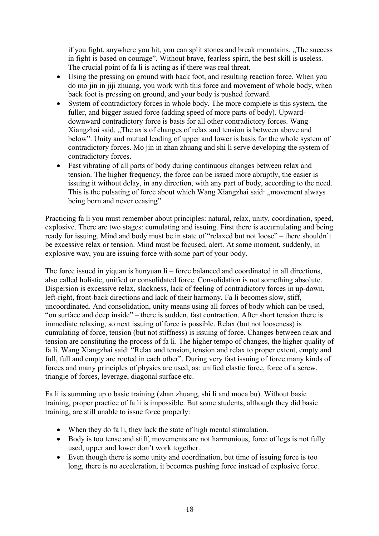if you fight, anywhere you hit, you can split stones and break mountains. "The success in fight is based on courage". Without brave, fearless spirit, the best skill is useless. The crucial point of fa li is acting as if there was real threat.

- Using the pressing on ground with back foot, and resulting reaction force. When you do mo jin in jiji zhuang, you work with this force and movement of whole body, when back foot is pressing on ground, and your body is pushed forward.
- System of contradictory forces in whole body. The more complete is this system, the fuller, and bigger issued force (adding speed of more parts of body). Upwarddownward contradictory force is basis for all other contradictory forces. Wang Xiangzhai said. "The axis of changes of relax and tension is between above and below". Unity and mutual leading of upper and lower is basis for the whole system of contradictory forces. Mo jin in zhan zhuang and shi li serve developing the system of contradictory forces.
- Fast vibrating of all parts of body during continuous changes between relax and tension. The higher frequency, the force can be issued more abruptly, the easier is issuing it without delay, in any direction, with any part of body, according to the need. This is the pulsating of force about which Wang Xiangzhai said: "movement always being born and never ceasing".

Practicing fa li you must remember about principles: natural, relax, unity, coordination, speed, explosive. There are two stages: cumulating and issuing. First there is accumulating and being ready for issuing. Mind and body must be in state of "relaxed but not loose" – there shouldn't be excessive relax or tension. Mind must be focused, alert. At some moment, suddenly, in explosive way, you are issuing force with some part of your body.

The force issued in yiquan is hunyuan li – force balanced and coordinated in all directions, also called holistic, unified or consolidated force. Consolidation is not something absolute. Dispersion is excessive relax, slackness, lack of feeling of contradictory forces in up-down, left-right, front-back directions and lack of their harmony. Fa li becomes slow, stiff, uncoordinated. And consolidation, unity means using all forces of body which can be used, "on surface and deep inside" – there is sudden, fast contraction. After short tension there is immediate relaxing, so next issuing of force is possible. Relax (but not looseness) is cumulating of force, tension (but not stiffness) is issuing of force. Changes between relax and tension are constituting the process of fa li. The higher tempo of changes, the higher quality of fa li. Wang Xiangzhai said: "Relax and tension, tension and relax to proper extent, empty and full, full and empty are rooted in each other". During very fast issuing of force many kinds of forces and many principles of physics are used, as: unified elastic force, force of a screw, triangle of forces, leverage, diagonal surface etc.

Fa li is summing up o basic training (zhan zhuang, shi li and moca bu). Without basic training, proper practice of fa li is impossible. But some students, although they did basic training, are still unable to issue force properly:

- When they do fa li, they lack the state of high mental stimulation.
- Body is too tense and stiff, movements are not harmonious, force of legs is not fully used, upper and lower don't work together.
- Even though there is some unity and coordination, but time of issuing force is too long, there is no acceleration, it becomes pushing force instead of explosive force.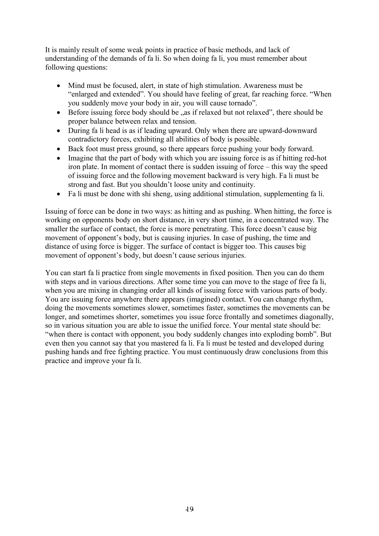It is mainly result of some weak points in practice of basic methods, and lack of understanding of the demands of fa li. So when doing fa li, you must remember about following questions:

- Mind must be focused, alert, in state of high stimulation. Awareness must be "enlarged and extended". You should have feeling of great, far reaching force. "When you suddenly move your body in air, you will cause tornado".
- Before issuing force body should be , as if relaxed but not relaxed", there should be proper balance between relax and tension.
- During fa li head is as if leading upward. Only when there are upward-downward contradictory forces, exhibiting all abilities of body is possible.
- Back foot must press ground, so there appears force pushing your body forward.
- Imagine that the part of body with which you are issuing force is as if hitting red-hot iron plate. In moment of contact there is sudden issuing of force – this way the speed of issuing force and the following movement backward is very high. Fa li must be strong and fast. But you shouldn't loose unity and continuity.
- Fa li must be done with shi sheng, using additional stimulation, supplementing fa li.

Issuing of force can be done in two ways: as hitting and as pushing. When hitting, the force is working on opponents body on short distance, in very short time, in a concentrated way. The smaller the surface of contact, the force is more penetrating. This force doesn't cause big movement of opponent's body, but is causing injuries. In case of pushing, the time and distance of using force is bigger. The surface of contact is bigger too. This causes big movement of opponent's body, but doesn't cause serious injuries.

You can start fa li practice from single movements in fixed position. Then you can do them with steps and in various directions. After some time you can move to the stage of free fa li, when you are mixing in changing order all kinds of issuing force with various parts of body. You are issuing force anywhere there appears (imagined) contact. You can change rhythm, doing the movements sometimes slower, sometimes faster, sometimes the movements can be longer, and sometimes shorter, sometimes you issue force frontally and sometimes diagonally, so in various situation you are able to issue the unified force. Your mental state should be: "when there is contact with opponent, you body suddenly changes into exploding bomb". But even then you cannot say that you mastered fa li. Fa li must be tested and developed during pushing hands and free fighting practice. You must continuously draw conclusions from this practice and improve your fa li.